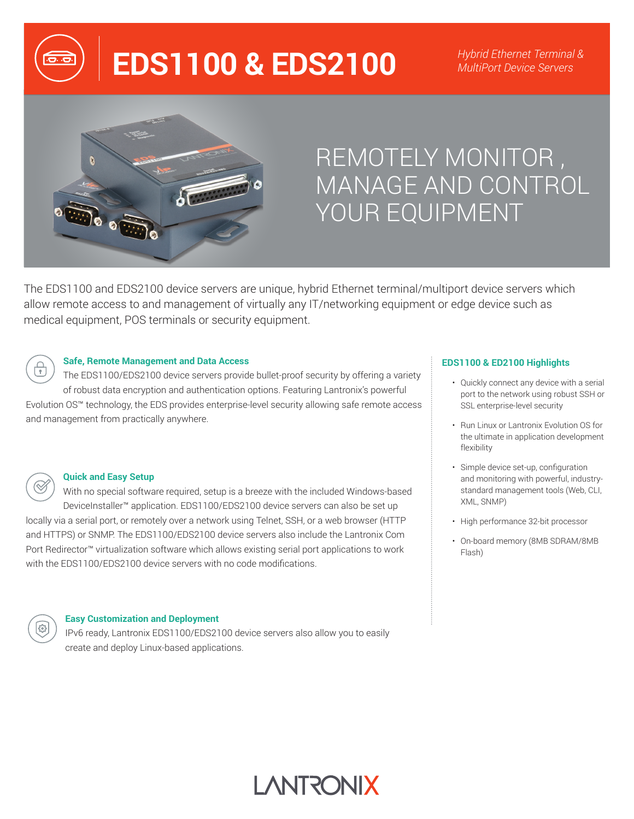# **EDS1100 & EDS2100** *MultiPort Device Servers*



## REMOTELY MONITOR , MANAGE AND CONTROL YOUR EQUIPMENT

The EDS1100 and EDS2100 device servers are unique, hybrid Ethernet terminal/multiport device servers which allow remote access to and management of virtually any IT/networking equipment or edge device such as medical equipment, POS terminals or security equipment.

**LANTRONIX** 



#### **Safe, Remote Management and Data Access**

The EDS1100/EDS2100 device servers provide bullet-proof security by offering a variety of robust data encryption and authentication options. Featuring Lantronix's powerful Evolution OS™ technology, the EDS provides enterprise-level security allowing safe remote access and management from practically anywhere.



#### **Quick and Easy Setup**

With no special software required, setup is a breeze with the included Windows-based DeviceInstaller™ application. EDS1100/EDS2100 device servers can also be set up locally via a serial port, or remotely over a network using Telnet, SSH, or a web browser (HTTP and HTTPS) or SNMP. The EDS1100/EDS2100 device servers also include the Lantronix Com Port Redirector™ virtualization software which allows existing serial port applications to work with the EDS1100/EDS2100 device servers with no code modifications.



#### **Easy Customization and Deployment**

IPv6 ready, Lantronix EDS1100/EDS2100 device servers also allow you to easily create and deploy Linux-based applications.

#### **EDS1100 & ED2100 Highlights**

- Quickly connect any device with a serial port to the network using robust SSH or SSL enterprise-level security
- Run Linux or Lantronix Evolution OS for the ultimate in application development flexibility
- Simple device set-up, configuration and monitoring with powerful, industrystandard management tools (Web, CLI, XML, SNMP)
- High performance 32-bit processor
- On-board memory (8MB SDRAM/8MB Flash)